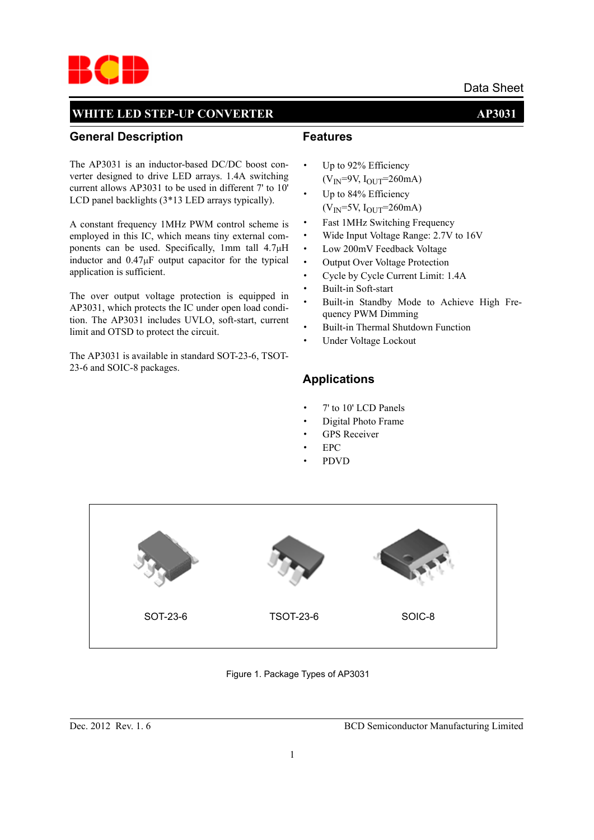

#### **General Description**

The AP3031 is an inductor-based DC/DC boost converter designed to drive LED arrays. 1.4A switching current allows AP3031 to be used in different 7' to 10' LCD panel backlights (3\*13 LED arrays typically).

A constant frequency 1MHz PWM control scheme is employed in this IC, which means tiny external components can be used. Specifically, 1mm tall 4.7μH inductor and  $0.47\mu$ F output capacitor for the typical application is sufficient.

The over output voltage protection is equipped in AP3031, which protects the IC under open load condition. The AP3031 includes UVLO, soft-start, current limit and OTSD to protect the circuit.

The AP3031 is available in standard SOT-23-6, TSOT-23-6 and SOIC-8 packages.

#### **Features**

- · Up to 92% Efficiency  $(V_{IN} = 9V, I_{OUT} = 260mA)$
- Up to 84% Efficiency  $(V_{IN} = 5V, I_{OUT} = 260mA)$
- · Fast 1MHz Switching Frequency
- · Wide Input Voltage Range: 2.7V to 16V
- · Low 200mV Feedback Voltage
- · Output Over Voltage Protection
- Cycle by Cycle Current Limit: 1.4A
- Built-in Soft-start
- Built-in Standby Mode to Achieve High Frequency PWM Dimming
- Built-in Thermal Shutdown Function
- Under Voltage Lockout

#### **Applications**

- · 7' to 10' LCD Panels
- Digital Photo Frame
- **GPS** Receiver
- · EPC
- · PDVD



Figure 1. Package Types of AP3031

Dec. 2012 Rev. 1. 6 BCD Semiconductor Manufacturing Limited

Data Sheet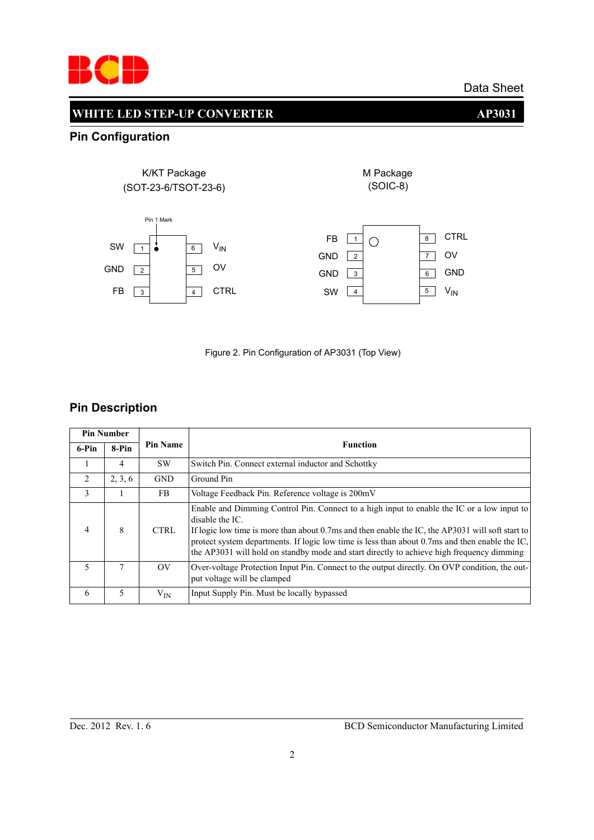

## **WHITE LED STEP-UP CONVERTER AP3031**

## **Pin Configuration**





## **Pin Description**

| <b>Pin Number</b> |         |                               |                                                                                                                                                                                                                                                                                                                                                                                                                  |
|-------------------|---------|-------------------------------|------------------------------------------------------------------------------------------------------------------------------------------------------------------------------------------------------------------------------------------------------------------------------------------------------------------------------------------------------------------------------------------------------------------|
| 6-Pin             | 8-Pin   | <b>Pin Name</b>               | <b>Function</b>                                                                                                                                                                                                                                                                                                                                                                                                  |
|                   | 4       | <b>SW</b>                     | Switch Pin. Connect external inductor and Schottky                                                                                                                                                                                                                                                                                                                                                               |
| 2                 | 2, 3, 6 | <b>GND</b>                    | Ground Pin                                                                                                                                                                                                                                                                                                                                                                                                       |
| 3                 |         | FB                            | Voltage Feedback Pin. Reference voltage is 200mV                                                                                                                                                                                                                                                                                                                                                                 |
|                   | 8       | <b>CTRL</b>                   | Enable and Dimming Control Pin. Connect to a high input to enable the IC or a low input to<br>disable the IC.<br>If logic low time is more than about 0.7ms and then enable the IC, the AP3031 will soft start to<br>protect system departments. If logic low time is less than about 0.7ms and then enable the IC,<br>the AP3031 will hold on standby mode and start directly to achieve high frequency dimming |
| 5                 | 7       | $\overline{\text{O}}\text{V}$ | Over-voltage Protection Input Pin. Connect to the output directly. On OVP condition, the out-<br>put voltage will be clamped                                                                                                                                                                                                                                                                                     |
| 6                 | 5       | $\rm V_{IN}$                  | Input Supply Pin. Must be locally bypassed                                                                                                                                                                                                                                                                                                                                                                       |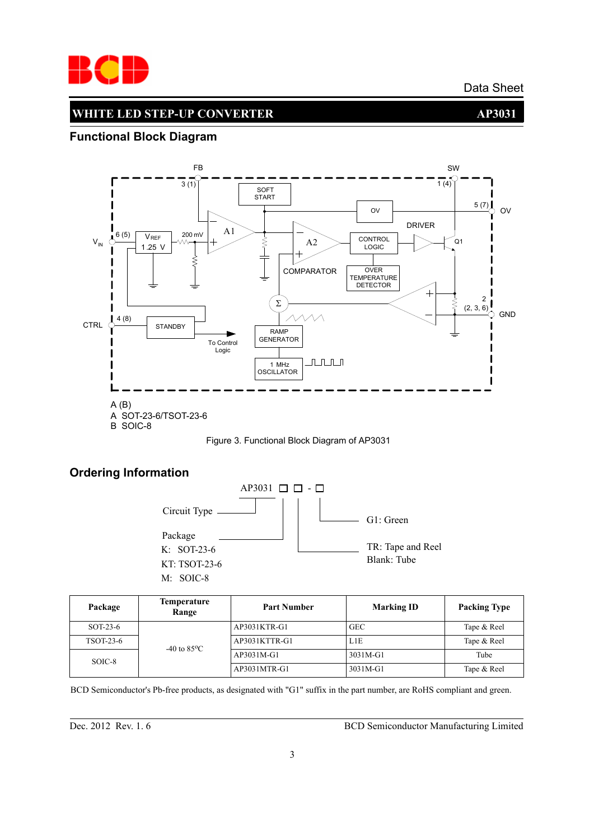

## **WHITE LED STEP-UP CONVERTER AP3031**

## **Functional Block Diagram**





## **Ordering Information**



| Package   | <b>Temperature</b><br>Range | <b>Part Number</b> | <b>Marking ID</b> | <b>Packing Type</b> |  |
|-----------|-----------------------------|--------------------|-------------------|---------------------|--|
| SOT-23-6  |                             | AP3031KTR-G1       | <b>GEC</b>        | Tape & Reel         |  |
| TSOT-23-6 | $-40$ to $85^{\circ}$ C     | AP3031KTTR-G1      | L1E               | Tape & Reel         |  |
| SOIC-8    |                             | AP3031M-G1         | 3031M-G1          | Tube                |  |
|           |                             | AP3031MTR-G1       | 3031M-G1          | Tape & Reel         |  |

BCD Semiconductor's Pb-free products, as designated with "G1" suffix in the part number, are RoHS compliant and green.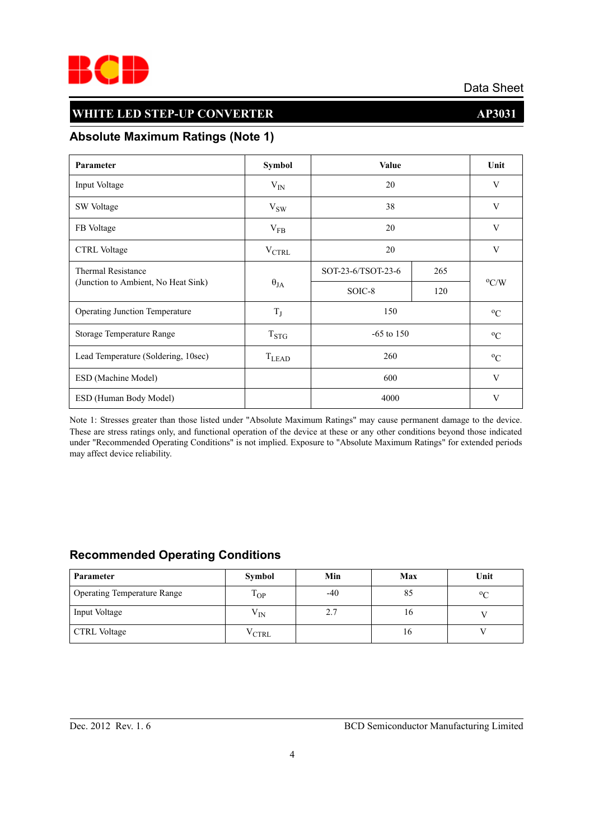

## **WHITE LED STEP-UP CONVERTER AP3031**

## **Absolute Maximum Ratings (Note 1)**

| Parameter                             | <b>Symbol</b>     | Value              |     | Unit          |
|---------------------------------------|-------------------|--------------------|-----|---------------|
| Input Voltage                         | $V_{IN}$          | 20                 |     | V             |
| SW Voltage                            | $V_{SW}$          | 38                 |     | V             |
| FB Voltage                            | $V_{FB}$          | 20                 |     | V             |
| <b>CTRL</b> Voltage                   | $V_{\text{CTRL}}$ | 20                 |     | V             |
| <b>Thermal Resistance</b>             | $\theta_{JA}$     | SOT-23-6/TSOT-23-6 | 265 |               |
| (Junction to Ambient, No Heat Sink)   |                   | SOIC-8             | 120 | $\rm ^{o}C/W$ |
| <b>Operating Junction Temperature</b> | $T_J$             | 150                |     | $\rm ^{o}C$   |
| Storage Temperature Range             | $T_{STG}$         | $-65$ to 150       |     | $\rm ^{o}C$   |
| Lead Temperature (Soldering, 10sec)   | $T_{LEAD}$        | 260                |     | $\rm ^{o}C$   |
| ESD (Machine Model)                   |                   | 600                |     | V             |
| ESD (Human Body Model)                |                   | 4000               |     | V             |

Note 1: Stresses greater than those listed under "Absolute Maximum Ratings" may cause permanent damage to the device. These are stress ratings only, and functional operation of the device at these or any other conditions beyond those indicated under "Recommended Operating Conditions" is not implied. Exposure to "Absolute Maximum Ratings" for extended periods may affect device reliability.

## **Recommended Operating Conditions**

| <b>Parameter</b>                   | Symbol                   | Min   | Max | Unit        |
|------------------------------------|--------------------------|-------|-----|-------------|
| <b>Operating Temperature Range</b> | $\mathbf{T}$<br>$1_{OP}$ | $-40$ | 85  | $\rm ^{o}C$ |
| Input Voltage                      | $V_{IN}$                 | 2.7   | 16  |             |
| <b>CTRL Voltage</b>                | $\rm{V}_{\rm {CTRL}}$    |       | 16  |             |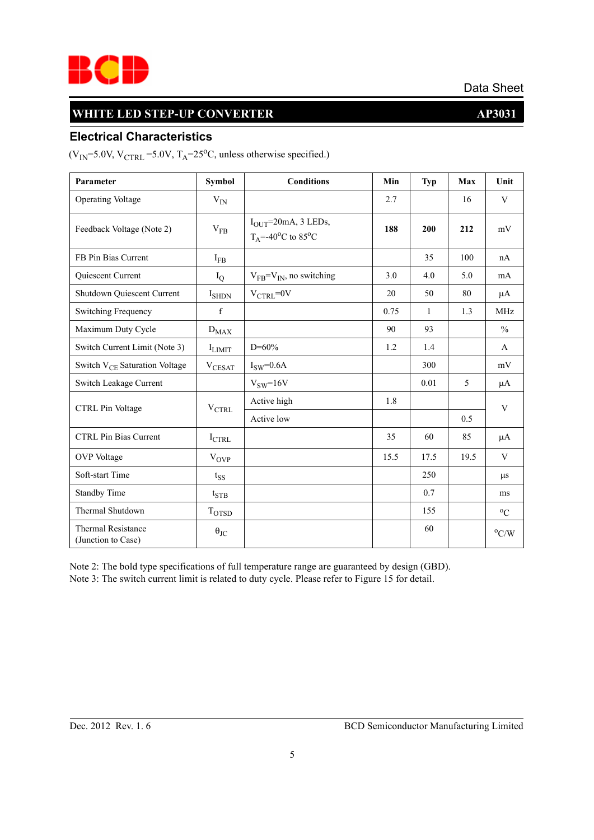

## **WHITE LED STEP-UP CONVERTER AP3031**

# **Electrical Characteristics**

 $(V_{IN} = 5.0V, V_{CTRL} = 5.0V, T_A = 25°C$ , unless otherwise specified.)

| Parameter                                       | <b>Symbol</b>     | <b>Conditions</b>                                                       | Min  | <b>Typ</b>   | Max  | Unit          |
|-------------------------------------------------|-------------------|-------------------------------------------------------------------------|------|--------------|------|---------------|
| <b>Operating Voltage</b>                        | $V_{IN}$          |                                                                         | 2.7  |              | 16   | V             |
| Feedback Voltage (Note 2)                       | $V_{FB}$          | $IOUT=20mA, 3 LEDs,$<br>$T_A = -40$ <sup>o</sup> C to 85 <sup>o</sup> C | 188  | 200          | 212  | mV            |
| FB Pin Bias Current                             | $I_{FB}$          |                                                                         |      | 35           | 100  | nA            |
| Quiescent Current                               | $I_Q$             | $V_{FB} = V_{IN}$ , no switching                                        | 3.0  | 4.0          | 5.0  | mA            |
| Shutdown Quiescent Current                      | $I_{SHDN}$        | $V_{CTRL} = 0V$                                                         | 20   | 50           | 80   | μA            |
| Switching Frequency                             | $\mathbf f$       |                                                                         | 0.75 | $\mathbf{1}$ | 1.3  | <b>MHz</b>    |
| Maximum Duty Cycle                              | $D_{MAX}$         |                                                                         | 90   | 93           |      | $\frac{0}{0}$ |
| Switch Current Limit (Note 3)                   | <b>I</b> LIMIT    | $D = 60\%$                                                              | 1.2  | 1.4          |      | $\mathbf{A}$  |
| Switch V <sub>CE</sub> Saturation Voltage       | $V_{CESAT}$       | $I_{SW}=0.6A$                                                           |      | 300          |      | mV            |
| Switch Leakage Current                          |                   | $V_{SW}=16V$                                                            |      | 0.01         | 5    | μA            |
| CTRL Pin Voltage                                | $\rm V_{CTRL}$    | Active high                                                             | 1.8  |              |      | $\mathbf{V}$  |
|                                                 |                   | Active low                                                              |      |              | 0.5  |               |
| <b>CTRL Pin Bias Current</b>                    | $I_{\text{CTRL}}$ |                                                                         | 35   | 60           | 85   | μA            |
| <b>OVP</b> Voltage                              | $V_{OVP}$         |                                                                         | 15.5 | 17.5         | 19.5 | V             |
| Soft-start Time                                 | $t_{SS}$          |                                                                         |      | 250          |      | $\mu$ s       |
| <b>Standby Time</b>                             | $t_{\text{STB}}$  |                                                                         |      | 0.7          |      | ms            |
| Thermal Shutdown                                | T <sub>OTSD</sub> |                                                                         |      | 155          |      | $^{0}C$       |
| <b>Thermal Resistance</b><br>(Junction to Case) | $\theta_{\rm JC}$ |                                                                         |      | 60           |      | $\rm ^{o}C/W$ |

Note 2: The bold type specifications of full temperature range are guaranteed by design (GBD). Note 3: The switch current limit is related to duty cycle. Please refer to Figure 15 for detail.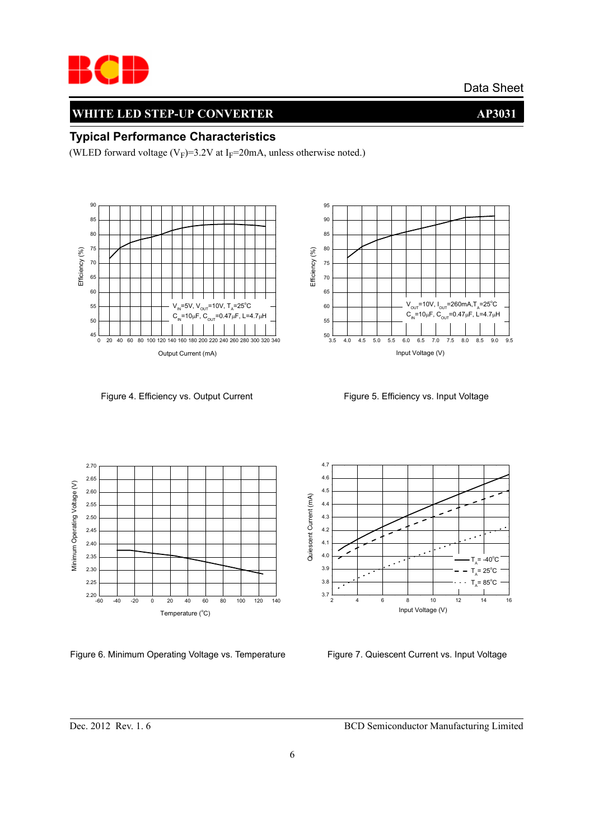

## **WHITE LED STEP-UP CONVERTER AP3031**

## **Typical Performance Characteristics**

(WLED forward voltage ( $V_F$ )=3.2V at I<sub>F</sub>=20mA, unless otherwise noted.)



Figure 4. Efficiency vs. Output Current Figure 5. Efficiency vs. Input Voltage





Figure 6. Minimum Operating Voltage vs. Temperature Figure 7. Quiescent Current vs. Input Voltage

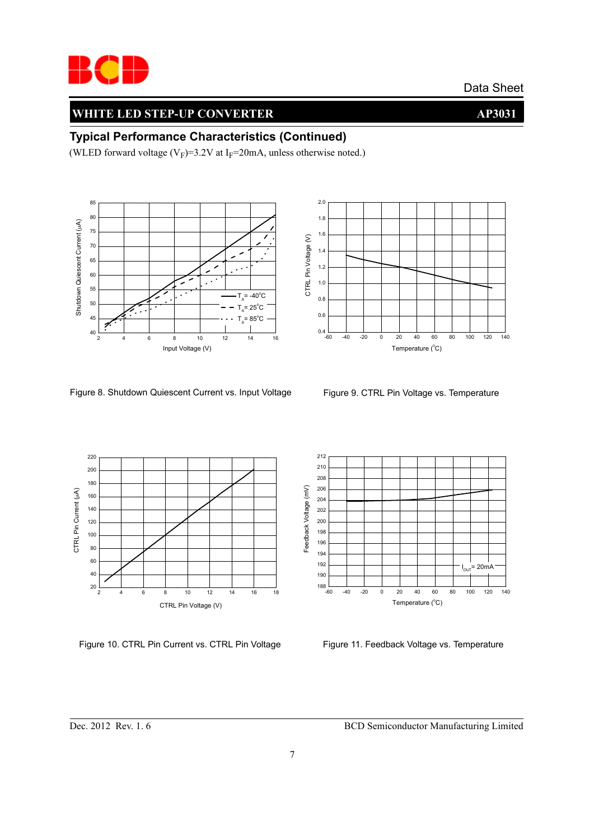

## **WHITE LED STEP-UP CONVERTER AP3031**

#### **Typical Performance Characteristics (Continued)**

(WLED forward voltage ( $V_F$ )=3.2V at I<sub>F</sub>=20mA, unless otherwise noted.)





Figure 8. Shutdown Quiescent Current vs. Input Voltage Figure 9. CTRL Pin Voltage vs. Temperature



Figure 10. CTRL Pin Current vs. CTRL Pin Voltage



Figure 11. Feedback Voltage vs. Temperature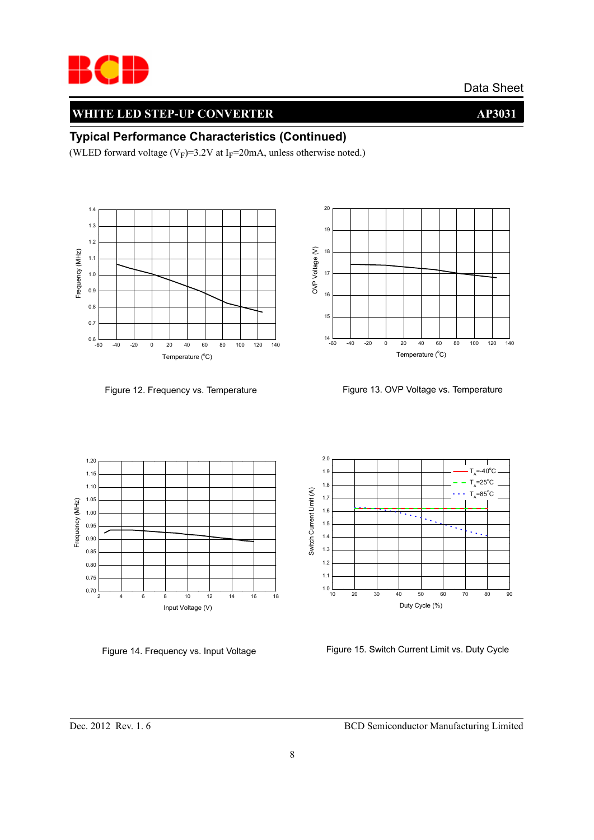

## **WHITE LED STEP-UP CONVERTER AP3031**

#### **Typical Performance Characteristics (Continued)**

(WLED forward voltage ( $V_F$ )=3.2V at I<sub>F</sub>=20mA, unless otherwise noted.)



Figure 12. Frequency vs. Temperature



19

20

Figure 13. OVP Voltage vs. Temperature





Figure 14. Frequency vs. Input Voltage Figure 15. Switch Current Limit vs. Duty Cycle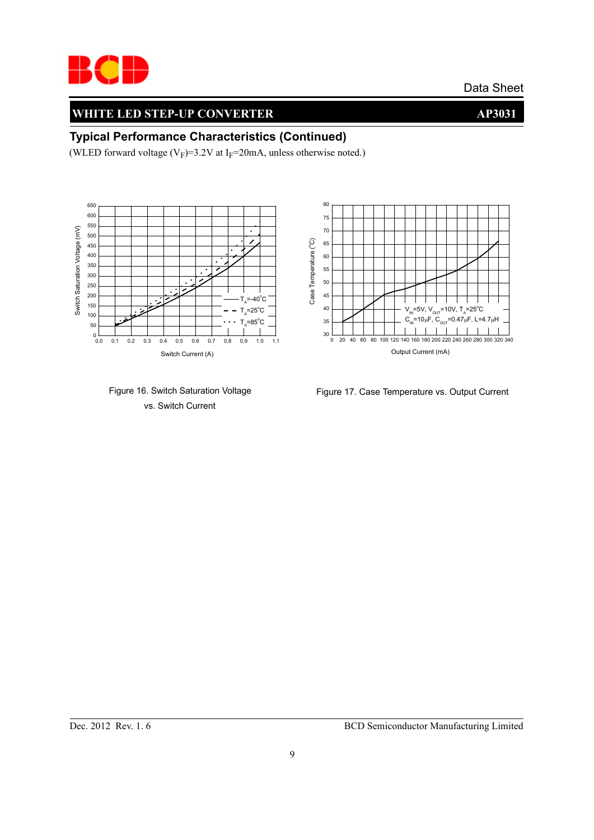

## **WHITE LED STEP-UP CONVERTER AP3031**

#### **Typical Performance Characteristics (Continued)**

(WLED forward voltage ( $V_F$ )=3.2V at I<sub>F</sub>=20mA, unless otherwise noted.)







Figure 17. Case Temperature vs. Output Current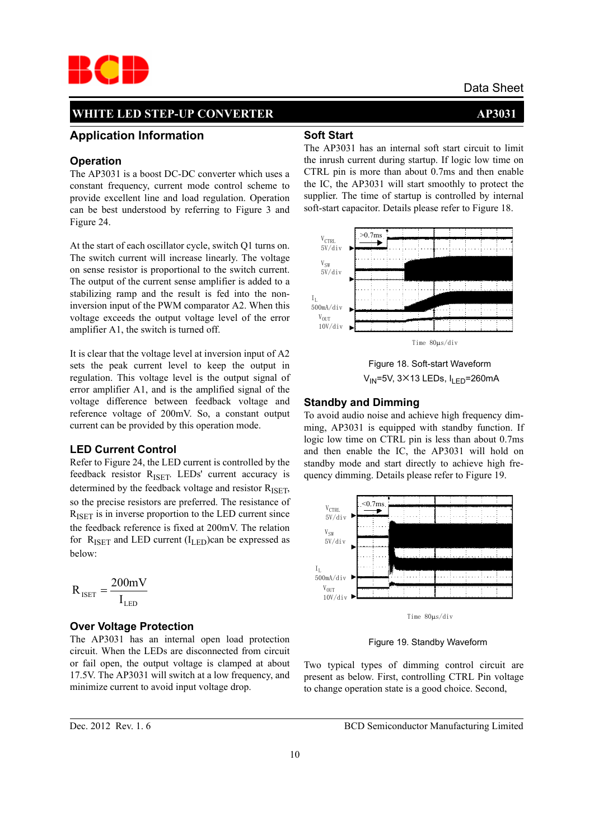

#### **Application Information**

#### **Operation**

The AP3031 is a boost DC-DC converter which uses a constant frequency, current mode control scheme to provide excellent line and load regulation. Operation can be best understood by referring to Figure 3 and Figure 24.

At the start of each oscillator cycle, switch Q1 turns on. The switch current will increase linearly. The voltage on sense resistor is proportional to the switch current. The output of the current sense amplifier is added to a stabilizing ramp and the result is fed into the noninversion input of the PWM comparator A2. When this voltage exceeds the output voltage level of the error amplifier A1, the switch is turned off.

It is clear that the voltage level at inversion input of A2 sets the peak current level to keep the output in regulation. This voltage level is the output signal of error amplifier A1, and is the amplified signal of the voltage difference between feedback voltage and reference voltage of 200mV. So, a constant output current can be provided by this operation mode.

#### **LED Current Control**

Refer to Figure 24, the LED current is controlled by the feedback resistor R<sub>ISET</sub>. LEDs' current accuracy is determined by the feedback voltage and resistor  $R_{\text{ISFT}}$ , so the precise resistors are preferred. The resistance of  $R_{\text{ISET}}$  is in inverse proportion to the LED current since the feedback reference is fixed at 200mV. The relation for  $R_{\text{ISET}}$  and LED current ( $I_{\text{LED}}$ )can be expressed as below:

$$
R_{\rm ISET}=\frac{200mV}{I_{\rm LED}}
$$

#### **Over Voltage Protection**

The AP3031 has an internal open load protection circuit. When the LEDs are disconnected from circuit or fail open, the output voltage is clamped at about 17.5V. The AP3031 will switch at a low frequency, and minimize current to avoid input voltage drop.

#### **Soft Start**

The AP3031 has an internal soft start circuit to limit the inrush current during startup. If logic low time on CTRL pin is more than about 0.7ms and then enable the IC, the AP3031 will start smoothly to protect the supplier. The time of startup is controlled by internal soft-start capacitor. Details please refer to Figure 18.



 Figure 18. Soft-start Waveform  $V_{IN}$ =5V, 3×13 LEDs,  $I_{LED}$ =260mA

#### **Standby and Dimming**

To avoid audio noise and achieve high frequency dimming, AP3031 is equipped with standby function. If logic low time on CTRL pin is less than about 0.7ms and then enable the IC, the AP3031 will hold on standby mode and start directly to achieve high frequency dimming. Details please refer to Figure 19.



Figure 19. Standby Waveform

Two typical types of dimming control circuit are present as below. First, controlling CTRL Pin voltage to change operation state is a good choice. Second,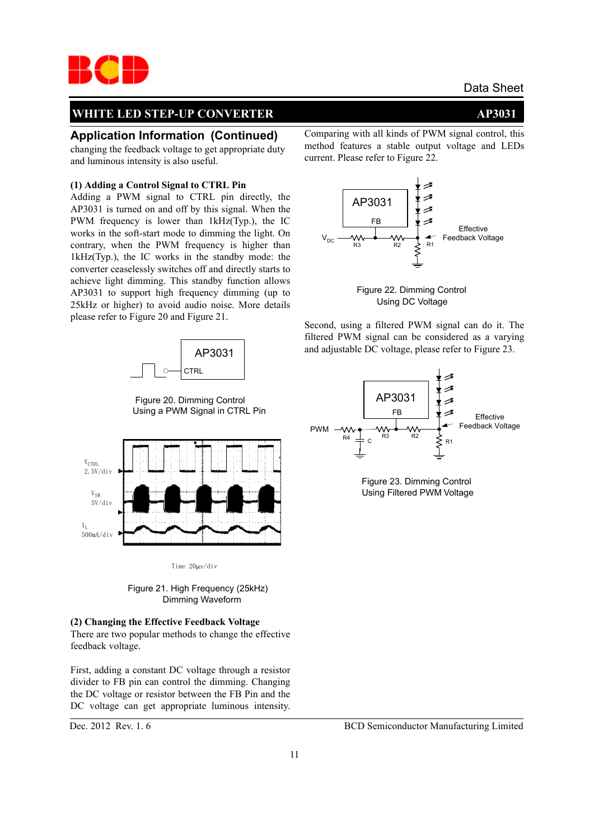

#### **Application Information (Continued)**

changing the feedback voltage to get appropriate duty and luminous intensity is also useful.

#### **(1) Adding a Control Signal to CTRL Pin**

Adding a PWM signal to CTRL pin directly, the AP3031 is turned on and off by this signal. When the PWM frequency is lower than 1kHz(Typ.), the IC works in the soft-start mode to dimming the light. On contrary, when the PWM frequency is higher than 1kHz(Typ.), the IC works in the standby mode: the converter ceaselessly switches off and directly starts to achieve light dimming. This standby function allows AP3031 to support high frequency dimming (up to 25kHz or higher) to avoid audio noise. More details please refer to Figure 20 and Figure 21.



 Figure 20. Dimming Control Using a PWM Signal in CTRL Pin



Time 20μs/div

 Figure 21. High Frequency (25kHz) Dimming Waveform

#### **(2) Changing the Effective Feedback Voltage** There are two popular methods to change the effective feedback voltage.

First, adding a constant DC voltage through a resistor divider to FB pin can control the dimming. Changing the DC voltage or resistor between the FB Pin and the DC voltage can get appropriate luminous intensity.

Comparing with all kinds of PWM signal control, this method features a stable output voltage and LEDs current. Please refer to Figure 22.





Second, using a filtered PWM signal can do it. The filtered PWM signal can be considered as a varying and adjustable DC voltage, please refer to Figure 23.



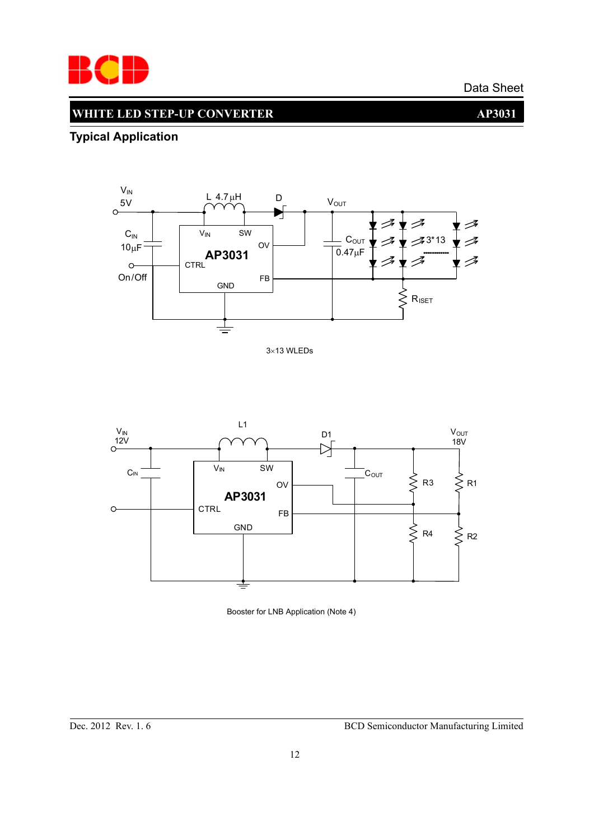

# **WHITE LED STEP-UP CONVERTER AP3031**

## **Typical Application**







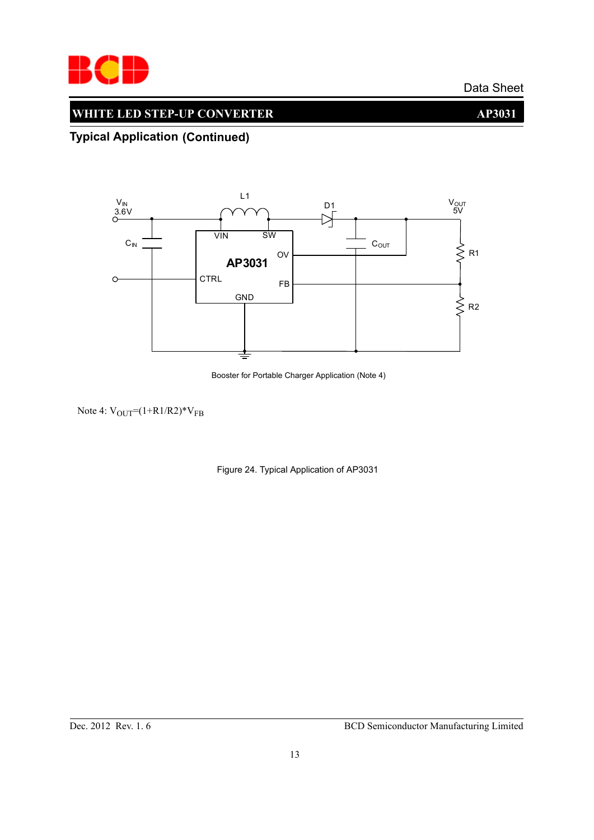

## **WHITE LED STEP-UP CONVERTER AP3031**

## **Typical Application (Continued)**



Booster for Portable Charger Application (Note 4)

Note 4:  $V_{\text{OUT}} = (1 + R1/R2) * V_{FB}$ 

Figure 24. Typical Application of AP3031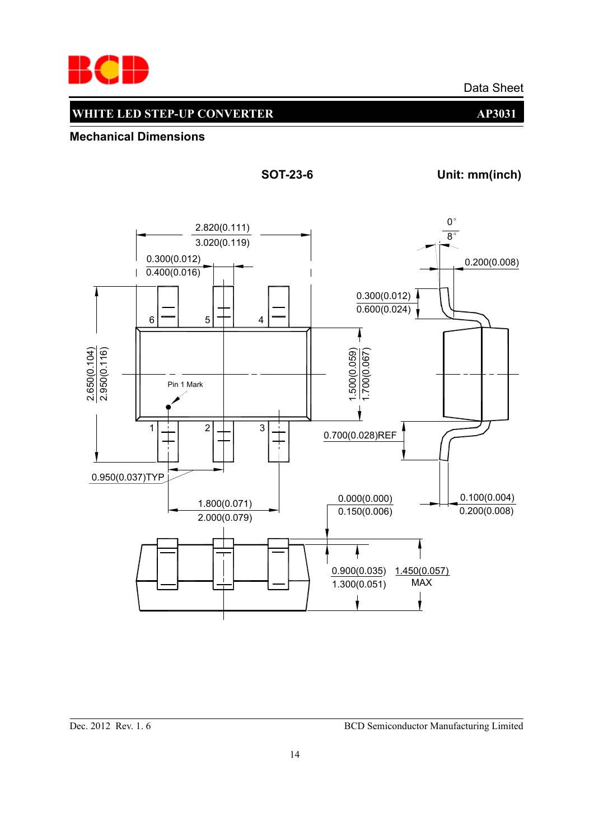

## **WHITE LED STEP-UP CONVERTER AP3031**

**Mechanical Dimensions**



Dec. 2012 Rev. 1. 6 BCD Semiconductor Manufacturing Limited

**SOT-23-6 Unit: mm(inch)**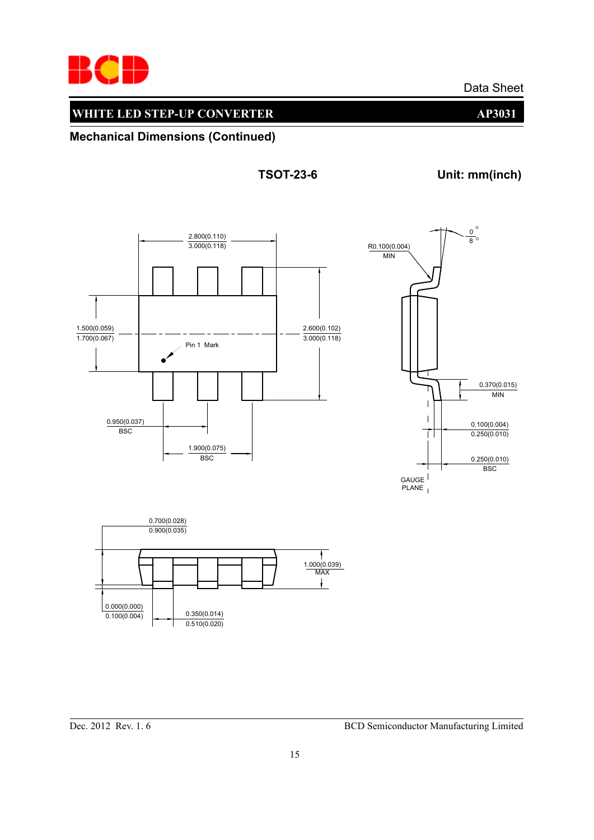

## **WHITE LED STEP-UP CONVERTER AP3031**

**Mechanical Dimensions (Continued)**

**TSOT-23-6 Unit: mm(inch)**

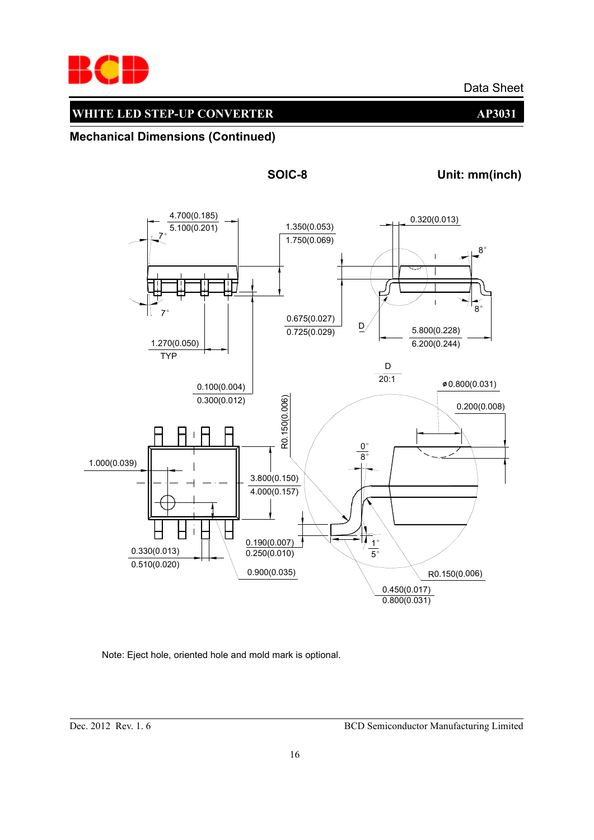

**Mechanical Dimensions (Continued)**



**SOIC-8 Unit: mm(inch)**

Note: Eject hole, oriented hole and mold mark is optional.